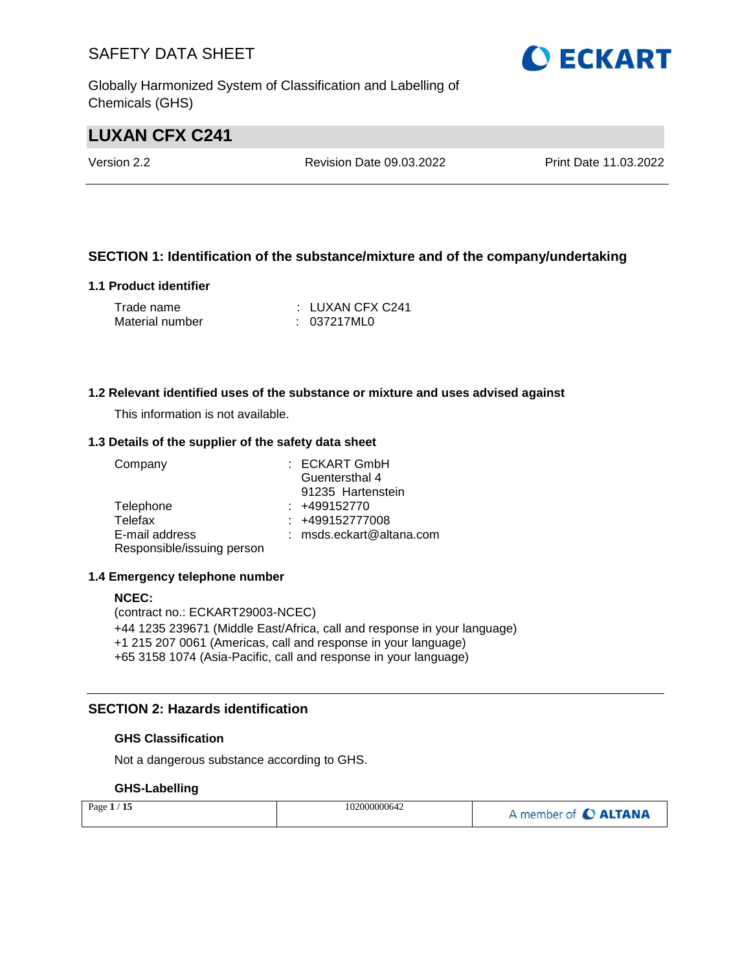Globally Harmonized System of Classification and Labelling of Chemicals (GHS)

# **LUXAN CFX C241**

Version 2.2 Revision Date 09.03.2022 Print Date 11.03.2022

### **SECTION 1: Identification of the substance/mixture and of the company/undertaking**

### **1.1 Product identifier**

| Trade name      | : LUXAN CFX C241 |
|-----------------|------------------|
| Material number | : 037217ML0      |

### **1.2 Relevant identified uses of the substance or mixture and uses advised against**

This information is not available.

### **1.3 Details of the supplier of the safety data sheet**

| Company                    | : ECKART GmbH            |
|----------------------------|--------------------------|
|                            | Guentersthal 4           |
|                            | 91235 Hartenstein        |
| Telephone                  | $: +499152770$           |
| Telefax                    | $: +499152777008$        |
| E-mail address             | : msds.eckart@altana.com |
| Responsible/issuing person |                          |

### **1.4 Emergency telephone number**

#### **NCEC:**

(contract no.: ECKART29003-NCEC) +44 1235 239671 (Middle East/Africa, call and response in your language) +1 215 207 0061 (Americas, call and response in your language) +65 3158 1074 (Asia-Pacific, call and response in your language)

### **SECTION 2: Hazards identification**

### **GHS Classification**

Not a dangerous substance according to GHS.

### **GHS-Labelling**

| Page $1/15$ | 102000000642 | A member of C ALTANA |
|-------------|--------------|----------------------|
|-------------|--------------|----------------------|

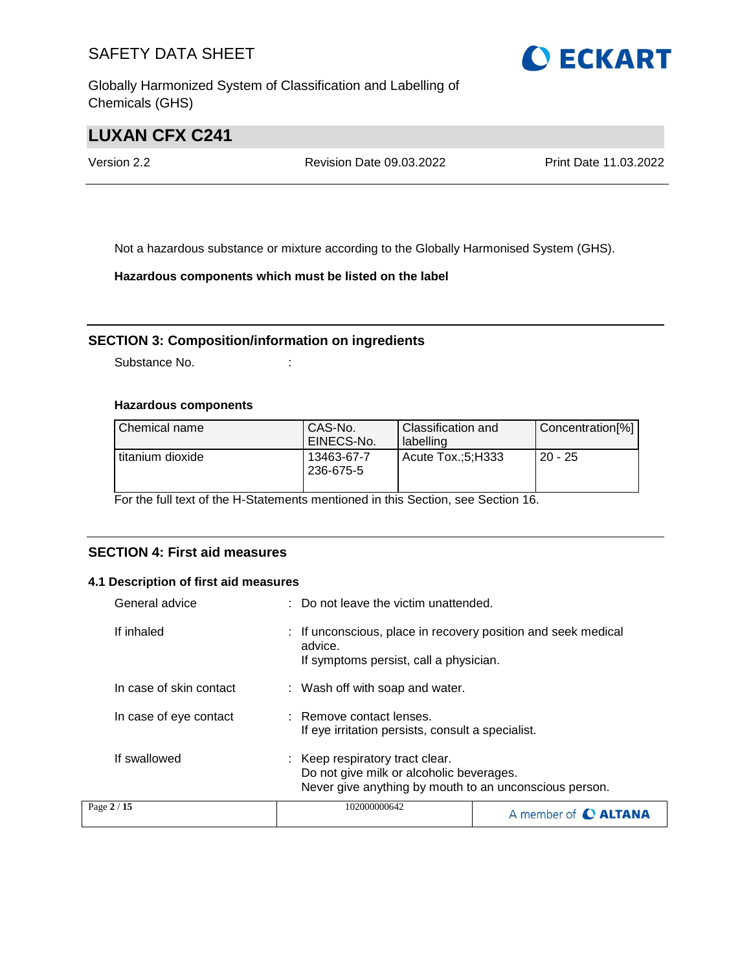Globally Harmonized System of Classification and Labelling of Chemicals (GHS)

# **LUXAN CFX C241**

Version 2.2 Revision Date 09.03.2022 Print Date 11.03.2022

Not a hazardous substance or mixture according to the Globally Harmonised System (GHS).

**Hazardous components which must be listed on the label**

### **SECTION 3: Composition/information on ingredients**

Substance No. **:** :

### **Hazardous components**

| Chemical name    | CAS-No.<br>EINECS-No.   | Classification and<br>labelling | Concentration[%] |
|------------------|-------------------------|---------------------------------|------------------|
| titanium dioxide | 13463-67-7<br>236-675-5 | Acute Tox.:5:H333               | $20 - 25$        |

For the full text of the H-Statements mentioned in this Section, see Section 16.

### **SECTION 4: First aid measures**

### **4.1 Description of first aid measures**

| General advice          | : Do not leave the victim unattended.                                                                                                 |                             |  |
|-------------------------|---------------------------------------------------------------------------------------------------------------------------------------|-----------------------------|--|
| If inhaled              | : If unconscious, place in recovery position and seek medical<br>advice.<br>If symptoms persist, call a physician.                    |                             |  |
| In case of skin contact | : Wash off with soap and water.                                                                                                       |                             |  |
| In case of eye contact  | : Remove contact lenses.<br>If eye irritation persists, consult a specialist.                                                         |                             |  |
| If swallowed            | : Keep respiratory tract clear.<br>Do not give milk or alcoholic beverages.<br>Never give anything by mouth to an unconscious person. |                             |  |
| Page 2 / 15             | 102000000642                                                                                                                          | A member of <b>C ALTANA</b> |  |

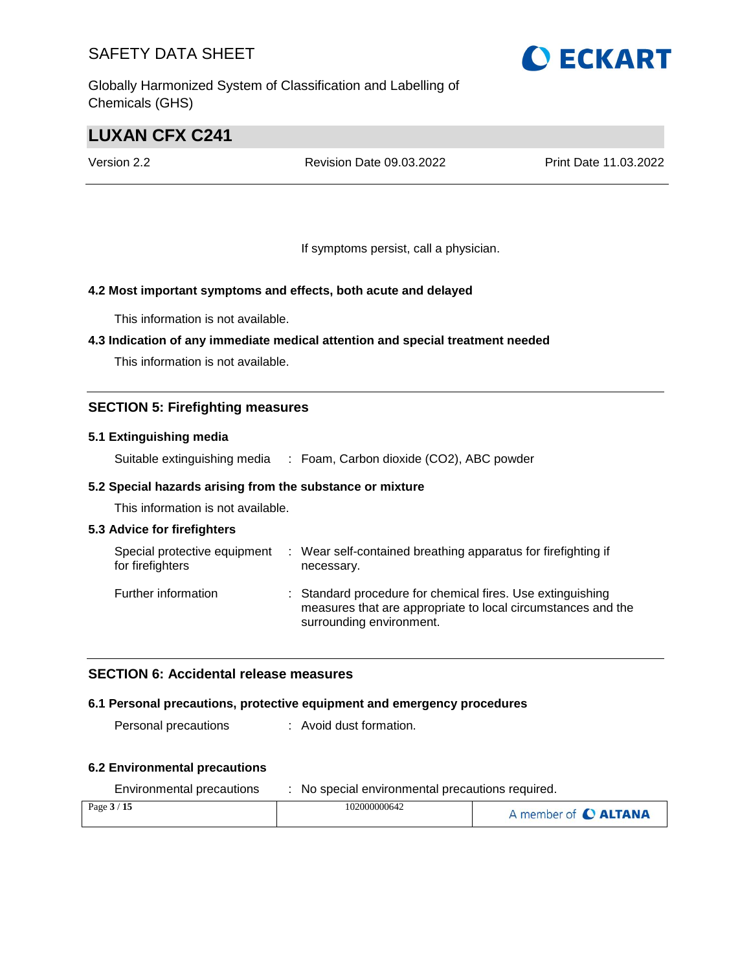Globally Harmonized System of Classification and Labelling of Chemicals (GHS)

# **LUXAN CFX C241**

Version 2.2 Revision Date 09.03.2022 Print Date 11.03.2022

If symptoms persist, call a physician.

### **4.2 Most important symptoms and effects, both acute and delayed**

This information is not available.

### **4.3 Indication of any immediate medical attention and special treatment needed**

This information is not available.

### **SECTION 5: Firefighting measures**

### **5.1 Extinguishing media**

Suitable extinguishing media : Foam, Carbon dioxide (CO2), ABC powder

### **5.2 Special hazards arising from the substance or mixture**

This information is not available.

### **5.3 Advice for firefighters**

| Special protective equipment<br>for firefighters | ÷ | Wear self-contained breathing apparatus for firefighting if<br>necessary.                                                                              |
|--------------------------------------------------|---|--------------------------------------------------------------------------------------------------------------------------------------------------------|
| Further information                              |   | : Standard procedure for chemical fires. Use extinguishing<br>measures that are appropriate to local circumstances and the<br>surrounding environment. |

### **SECTION 6: Accidental release measures**

### **6.1 Personal precautions, protective equipment and emergency procedures**

Personal precautions : Avoid dust formation.

### **6.2 Environmental precautions**

| Environmental precautions | No special environmental precautions required. |                      |  |
|---------------------------|------------------------------------------------|----------------------|--|
| Page $3/15$               | 102000000642                                   | A member of C ALTANA |  |

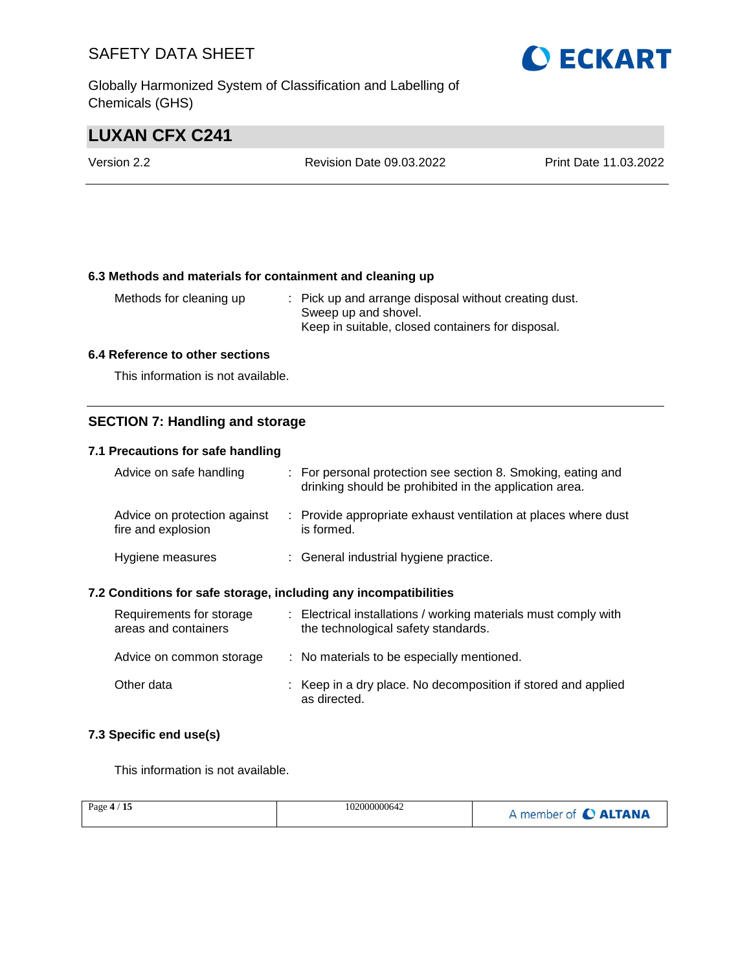Globally Harmonized System of Classification and Labelling of Chemicals (GHS)

# **LUXAN CFX C241**

| Version 2.2 | <b>Revision Date 09.03.2022</b> | Print Date 11.03.2022 |
|-------------|---------------------------------|-----------------------|
|             |                                 |                       |

### **6.3 Methods and materials for containment and cleaning up**

Methods for cleaning up : Pick up and arrange disposal without creating dust. Sweep up and shovel. Keep in suitable, closed containers for disposal.

### **6.4 Reference to other sections**

This information is not available.

### **SECTION 7: Handling and storage**

### **7.1 Precautions for safe handling**

| Advice on safe handling                            | : For personal protection see section 8. Smoking, eating and<br>drinking should be prohibited in the application area. |
|----------------------------------------------------|------------------------------------------------------------------------------------------------------------------------|
| Advice on protection against<br>fire and explosion | : Provide appropriate exhaust ventilation at places where dust<br>is formed.                                           |
| Hygiene measures                                   | : General industrial hygiene practice.                                                                                 |

### **7.2 Conditions for safe storage, including any incompatibilities**

| Requirements for storage<br>areas and containers | : Electrical installations / working materials must comply with<br>the technological safety standards. |
|--------------------------------------------------|--------------------------------------------------------------------------------------------------------|
| Advice on common storage                         | : No materials to be especially mentioned.                                                             |
| Other data                                       | : Keep in a dry place. No decomposition if stored and applied<br>as directed.                          |

### **7.3 Specific end use(s)**

This information is not available.

| 102000000642<br>15<br>Page $4/$ | A member of C ALTANA |
|---------------------------------|----------------------|
|---------------------------------|----------------------|

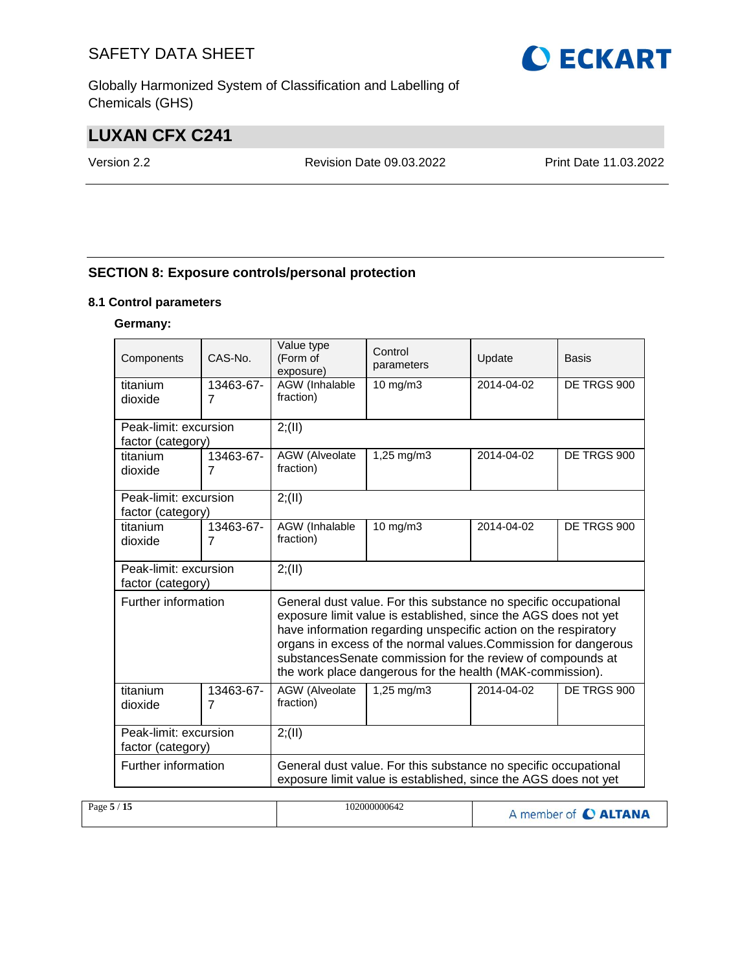Globally Harmonized System of Classification and Labelling of Chemicals (GHS)

# **LUXAN CFX C241**

Version 2.2 Revision Date 09.03.2022 Print Date 11.03.2022

### **SECTION 8: Exposure controls/personal protection**

### **8.1 Control parameters**

### **Germany:**

| Components            | CAS-No.        | Value type<br>(Form of<br>exposure) | Control<br>parameters                                                                                                                                                                                                                                                                                                                                                                               | Update     | <b>Basis</b> |  |
|-----------------------|----------------|-------------------------------------|-----------------------------------------------------------------------------------------------------------------------------------------------------------------------------------------------------------------------------------------------------------------------------------------------------------------------------------------------------------------------------------------------------|------------|--------------|--|
| titanium              | 13463-67-      | AGW (Inhalable                      | 10 mg/m3                                                                                                                                                                                                                                                                                                                                                                                            | 2014-04-02 | DE TRGS 900  |  |
| dioxide               | $\overline{7}$ | fraction)                           |                                                                                                                                                                                                                                                                                                                                                                                                     |            |              |  |
| Peak-limit: excursion |                | 2; (II)                             |                                                                                                                                                                                                                                                                                                                                                                                                     |            |              |  |
| factor (category)     |                |                                     |                                                                                                                                                                                                                                                                                                                                                                                                     |            |              |  |
| titanium              | 13463-67-      | AGW (Alveolate                      | 1,25 mg/m3                                                                                                                                                                                                                                                                                                                                                                                          | 2014-04-02 | DE TRGS 900  |  |
| dioxide               | $\overline{7}$ | fraction)                           |                                                                                                                                                                                                                                                                                                                                                                                                     |            |              |  |
| Peak-limit: excursion |                | 2; (II)                             |                                                                                                                                                                                                                                                                                                                                                                                                     |            |              |  |
| factor (category)     |                |                                     |                                                                                                                                                                                                                                                                                                                                                                                                     |            |              |  |
| titanium              | 13463-67-      | AGW (Inhalable                      | $10 \text{ mg/m}$                                                                                                                                                                                                                                                                                                                                                                                   | 2014-04-02 | DE TRGS 900  |  |
| dioxide               | $\overline{7}$ | fraction)                           |                                                                                                                                                                                                                                                                                                                                                                                                     |            |              |  |
| Peak-limit: excursion |                | 2; (II)                             |                                                                                                                                                                                                                                                                                                                                                                                                     |            |              |  |
| factor (category)     |                |                                     |                                                                                                                                                                                                                                                                                                                                                                                                     |            |              |  |
| Further information   |                |                                     | General dust value. For this substance no specific occupational<br>exposure limit value is established, since the AGS does not yet<br>have information regarding unspecific action on the respiratory<br>organs in excess of the normal values. Commission for dangerous<br>substancesSenate commission for the review of compounds at<br>the work place dangerous for the health (MAK-commission). |            |              |  |
| titanium              | 13463-67-      | AGW (Alveolate                      | 1,25 mg/m3                                                                                                                                                                                                                                                                                                                                                                                          | 2014-04-02 | DE TRGS 900  |  |
| dioxide               | $\overline{7}$ | fraction)                           |                                                                                                                                                                                                                                                                                                                                                                                                     |            |              |  |
| Peak-limit: excursion |                | 2; (II)                             |                                                                                                                                                                                                                                                                                                                                                                                                     |            |              |  |
| factor (category)     |                |                                     |                                                                                                                                                                                                                                                                                                                                                                                                     |            |              |  |
| Further information   |                |                                     | General dust value. For this substance no specific occupational                                                                                                                                                                                                                                                                                                                                     |            |              |  |
|                       |                |                                     | exposure limit value is established, since the AGS does not yet                                                                                                                                                                                                                                                                                                                                     |            |              |  |

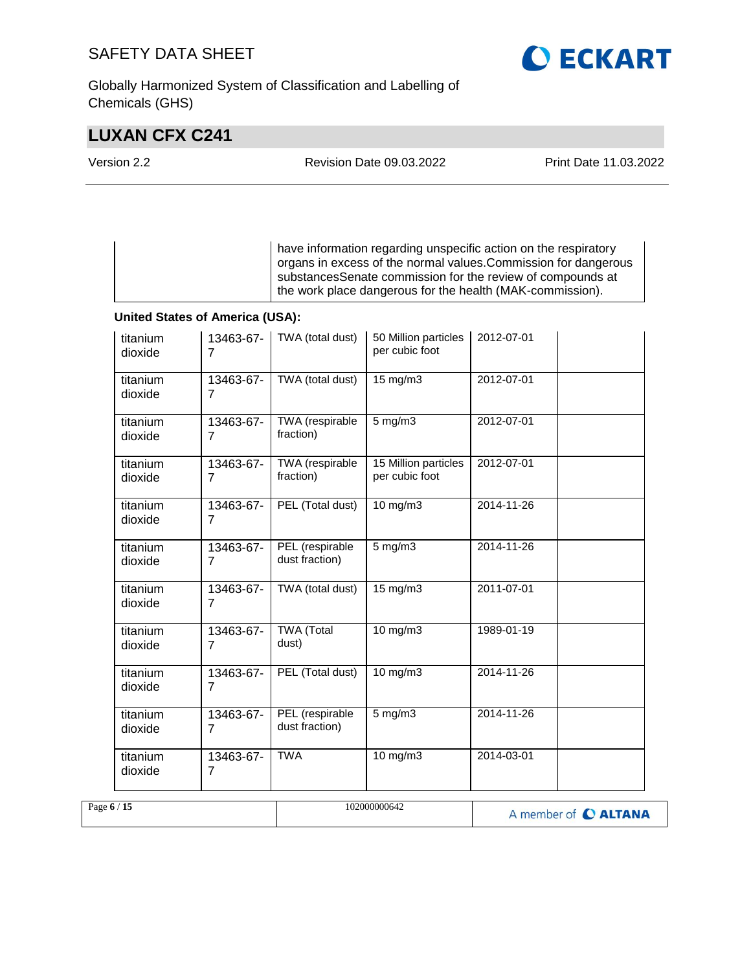Globally Harmonized System of Classification and Labelling of Chemicals (GHS)

# **LUXAN CFX C241**

| Version 2.2 | <b>Revision Date 09.03.2022</b> | Print Date 11.03.2022 |
|-------------|---------------------------------|-----------------------|
|             |                                 |                       |

have information regarding unspecific action on the respiratory organs in excess of the normal values.Commission for dangerous substancesSenate commission for the review of compounds at the work place dangerous for the health (MAK-commission).

### **United States of America (USA):**

|             | titanium<br>dioxide | 13463-67-<br>$\overline{7}$ | TWA (total dust)                  | 50 Million particles<br>per cubic foot | 2012-07-01           |
|-------------|---------------------|-----------------------------|-----------------------------------|----------------------------------------|----------------------|
|             | titanium<br>dioxide | 13463-67-<br>7              | TWA (total dust)                  | 15 mg/m3                               | 2012-07-01           |
|             | titanium<br>dioxide | 13463-67-<br>$\overline{7}$ | TWA (respirable<br>fraction)      | $5$ mg/m $3$                           | 2012-07-01           |
|             | titanium<br>dioxide | 13463-67-<br>$\overline{7}$ | TWA (respirable<br>fraction)      | 15 Million particles<br>per cubic foot | 2012-07-01           |
|             | titanium<br>dioxide | 13463-67-<br>7              | PEL (Total dust)                  | 10 mg/m3                               | 2014-11-26           |
|             | titanium<br>dioxide | 13463-67-<br>$\overline{7}$ | PEL (respirable<br>dust fraction) | $5$ mg/m $3$                           | 2014-11-26           |
|             | titanium<br>dioxide | 13463-67-<br>$\overline{7}$ | TWA (total dust)                  | 15 mg/m3                               | 2011-07-01           |
|             | titanium<br>dioxide | 13463-67-<br>7              | <b>TWA</b> (Total<br>dust)        | 10 mg/m3                               | 1989-01-19           |
|             | titanium<br>dioxide | 13463-67-<br>7              | PEL (Total dust)                  | 10 mg/m3                               | 2014-11-26           |
|             | titanium<br>dioxide | 13463-67-<br>$\overline{7}$ | PEL (respirable<br>dust fraction) | $5 \text{ mg/m}$                       | 2014-11-26           |
|             | titanium<br>dioxide | 13463-67-<br>7              | <b>TWA</b>                        | $10$ mg/m $3$                          | 2014-03-01           |
| Page 6 / 15 |                     |                             |                                   | 102000000642                           | A member of C ALTANA |

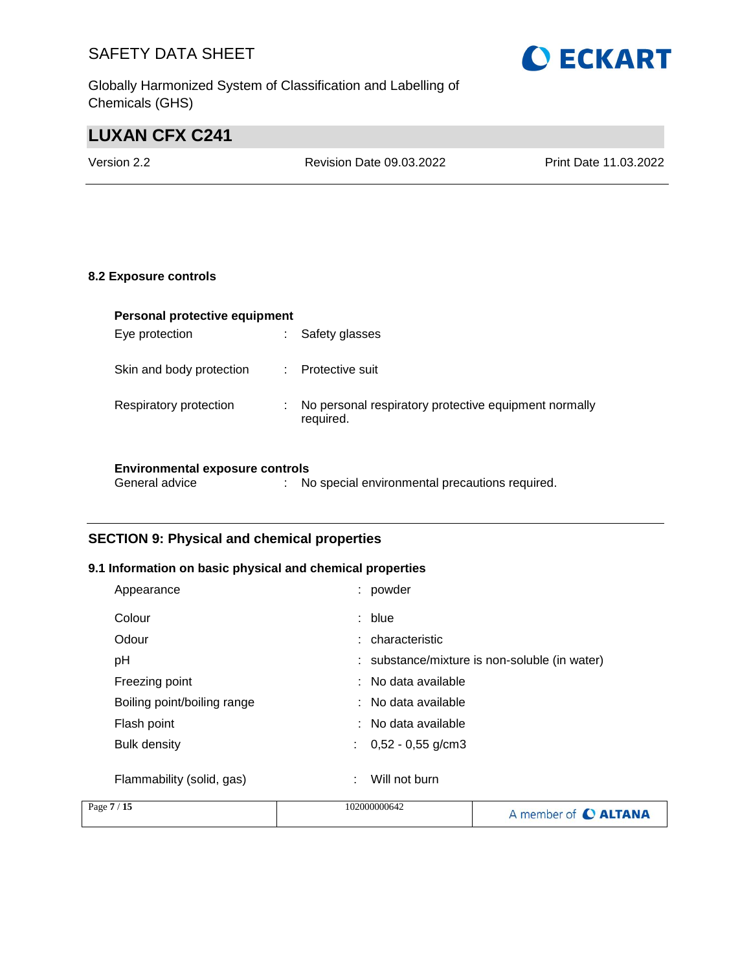Globally Harmonized System of Classification and Labelling of Chemicals (GHS)

# **LUXAN CFX C241**

Version 2.2 Revision Date 09.03.2022 Print Date 11.03.2022

### **8.2 Exposure controls**

| Personal protective equipment |   |                                                                    |  |  |
|-------------------------------|---|--------------------------------------------------------------------|--|--|
| Eye protection                |   | Safety glasses                                                     |  |  |
| Skin and body protection      |   | Protective suit                                                    |  |  |
| Respiratory protection        | ÷ | No personal respiratory protective equipment normally<br>required. |  |  |
|                               |   |                                                                    |  |  |

### **Environmental exposure controls**

| General advice |  | No special environmental precautions required. |  |
|----------------|--|------------------------------------------------|--|
|----------------|--|------------------------------------------------|--|

### **SECTION 9: Physical and chemical properties**

### **9.1 Information on basic physical and chemical properties**

| Appearance                  |   | : powder                                      |
|-----------------------------|---|-----------------------------------------------|
| Colour                      |   | : blue                                        |
| Odour                       |   | : characteristic                              |
| рH                          |   | : substance/mixture is non-soluble (in water) |
| Freezing point              |   | : No data available                           |
| Boiling point/boiling range |   | : No data available                           |
| Flash point                 |   | : No data available                           |
| Bulk density                |   | $\therefore$ 0,52 - 0,55 g/cm3                |
|                             |   |                                               |
| Flammability (solid, gas)   | ÷ | Will not burn                                 |

| Page 7 / 15 | 102000000642 | A member of C ALTANA |
|-------------|--------------|----------------------|
|             |              |                      |

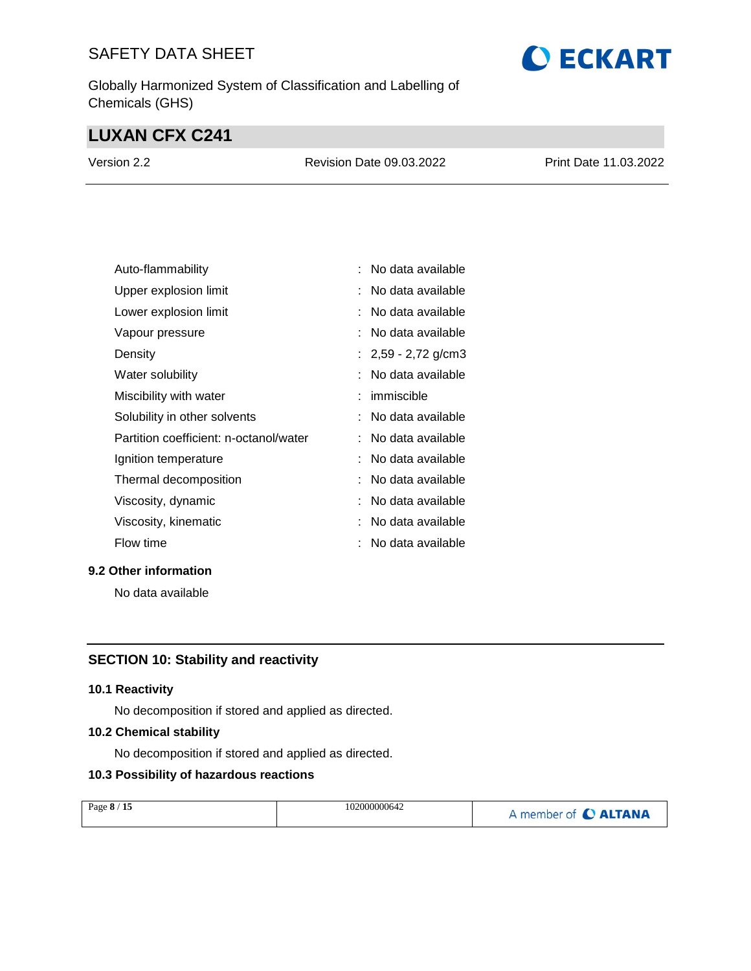Globally Harmonized System of Classification and Labelling of Chemicals (GHS)

# **LUXAN CFX C241**

| Version 2.2 | <b>Revision Date 09.03.2022</b> | Print Date 11.03.2022 |
|-------------|---------------------------------|-----------------------|
|             |                                 |                       |

| Auto-flammability                      | No data available     |
|----------------------------------------|-----------------------|
| Upper explosion limit                  | No data available     |
| Lower explosion limit                  | No data available     |
| Vapour pressure                        | No data available     |
| Density                                | : $2,59 - 2,72$ g/cm3 |
| Water solubility                       | No data available     |
| Miscibility with water                 | immiscible            |
| Solubility in other solvents           | No data available     |
| Partition coefficient: n-octanol/water | No data available     |
| Ignition temperature                   | No data available     |
| Thermal decomposition                  | No data available     |
| Viscosity, dynamic                     | No data available     |
| Viscosity, kinematic                   | No data available     |
| Flow time                              | No data available     |

### **9.2 Other information**

No data available

### **SECTION 10: Stability and reactivity**

### **10.1 Reactivity**

No decomposition if stored and applied as directed.

### **10.2 Chemical stability**

No decomposition if stored and applied as directed.

### **10.3 Possibility of hazardous reactions**

| Page 8 / 15 | 102000000642 | A member of C ALTANA |
|-------------|--------------|----------------------|
|             |              |                      |

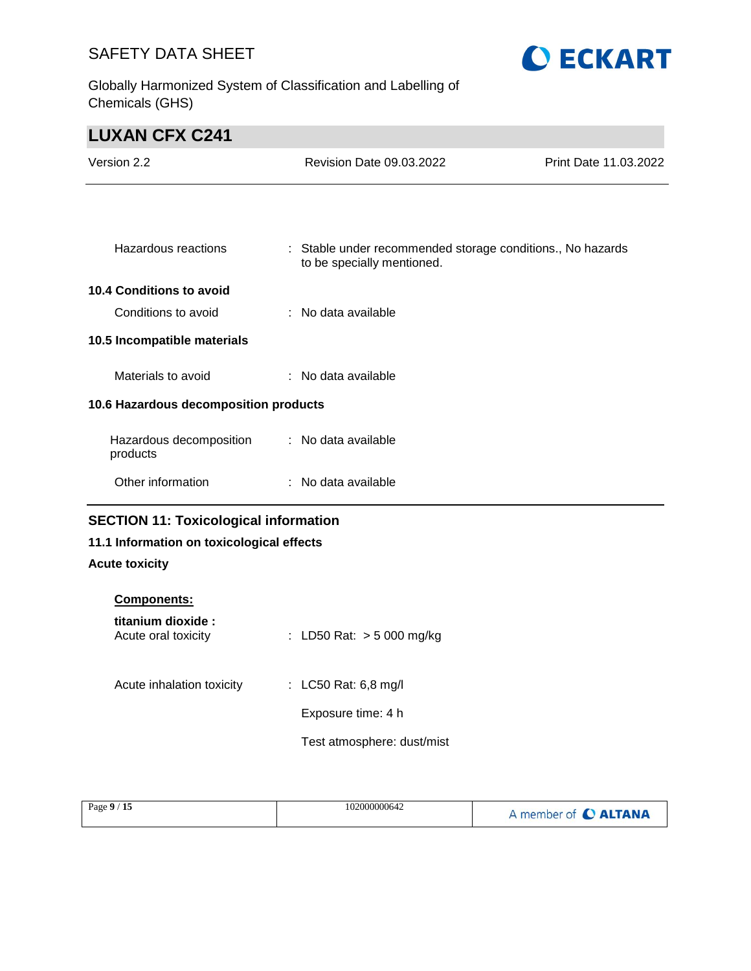Globally Harmonized System of Classification and Labelling of Chemicals (GHS)



# **LUXAN CFX C241**

| Version 2.2                                  | <b>Revision Date 09.03.2022</b>                                                          | Print Date 11.03.2022 |
|----------------------------------------------|------------------------------------------------------------------------------------------|-----------------------|
|                                              |                                                                                          |                       |
| Hazardous reactions                          | : Stable under recommended storage conditions., No hazards<br>to be specially mentioned. |                       |
| 10.4 Conditions to avoid                     |                                                                                          |                       |
| Conditions to avoid                          | : No data available                                                                      |                       |
| 10.5 Incompatible materials                  |                                                                                          |                       |
| Materials to avoid                           | : No data available                                                                      |                       |
| 10.6 Hazardous decomposition products        |                                                                                          |                       |
| Hazardous decomposition<br>products          | : No data available                                                                      |                       |
| Other information                            | : No data available                                                                      |                       |
| <b>SECTION 11: Toxicological information</b> |                                                                                          |                       |
| 11.1 Information on toxicological effects    |                                                                                          |                       |

### **Acute toxicity**

| <b>Components:</b>                        |                             |
|-------------------------------------------|-----------------------------|
| titanium dioxide :<br>Acute oral toxicity | : LD50 Rat: $>$ 5 000 mg/kg |
| Acute inhalation toxicity                 | : LC50 Rat: 6,8 mg/l        |
|                                           | Exposure time: 4 h          |
|                                           | Test atmosphere: dust/mist  |

| Page 9<br>$\lambda$ + $\lambda$ | 102000000642<br>. | <b>ALTANA</b><br>member of |
|---------------------------------|-------------------|----------------------------|
|---------------------------------|-------------------|----------------------------|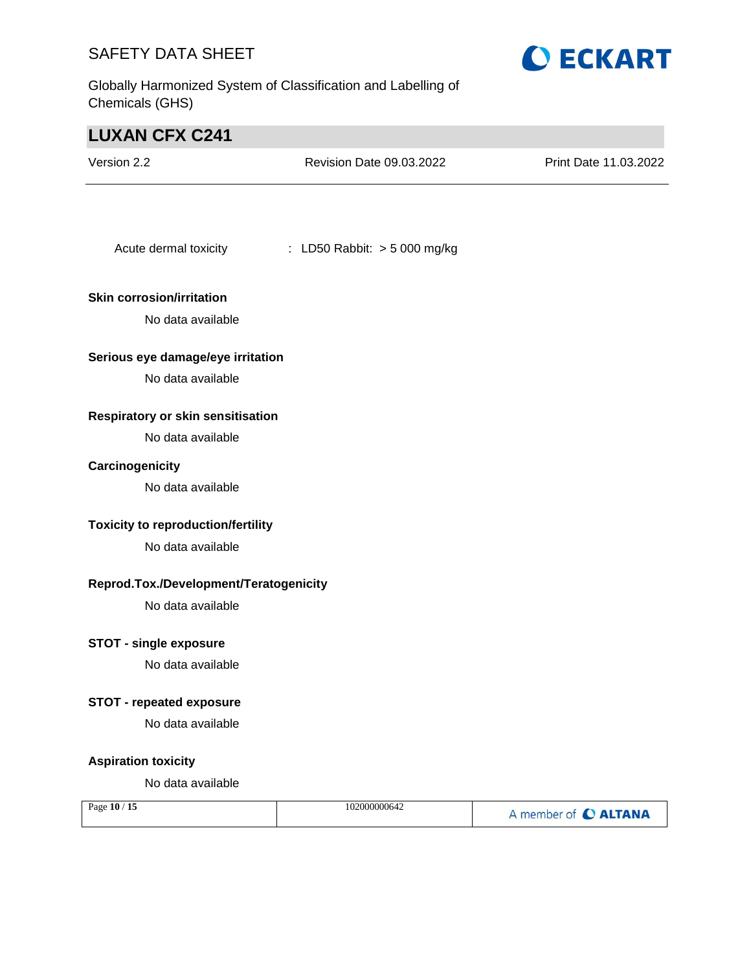Globally Harmonized System of Classification and Labelling of Chemicals (GHS)



# **LUXAN CFX C241** Version 2.2 Revision Date 09.03.2022 Print Date 11.03.2022 Acute dermal toxicity : LD50 Rabbit: > 5 000 mg/kg **Skin corrosion/irritation** No data available **Serious eye damage/eye irritation** No data available **Respiratory or skin sensitisation** No data available **Carcinogenicity** No data available **Toxicity to reproduction/fertility** No data available **Reprod.Tox./Development/Teratogenicity** No data available **STOT - single exposure** No data available **STOT - repeated exposure** No data available **Aspiration toxicity** No data available

| Page 10 / 15 | 102000000642 | A member of C ALTANA |
|--------------|--------------|----------------------|
|              |              |                      |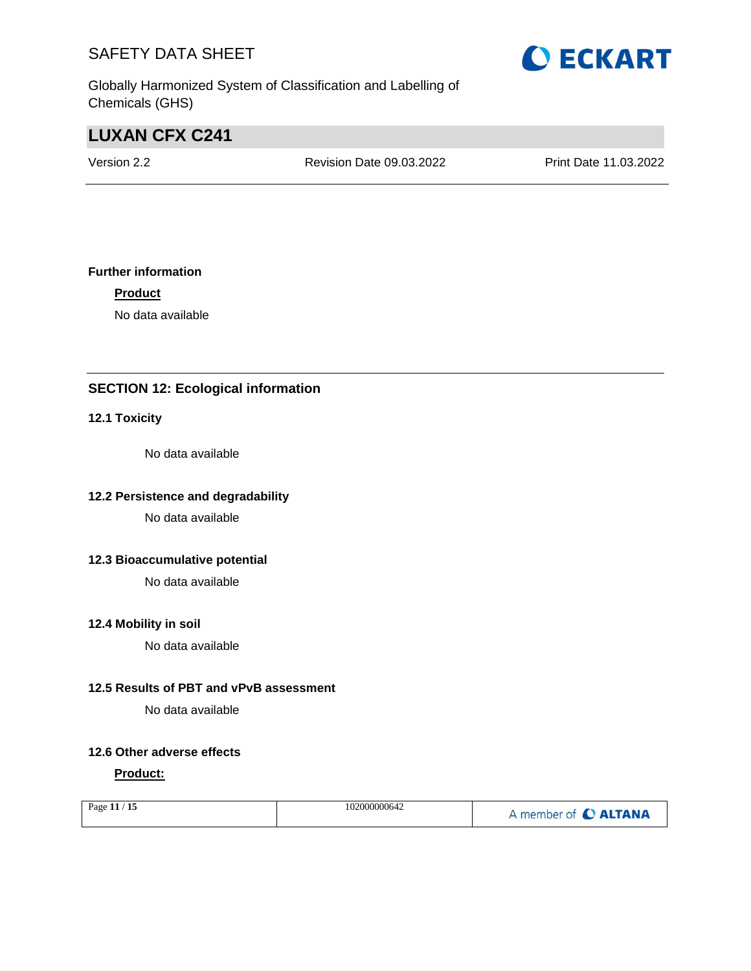Globally Harmonized System of Classification and Labelling of Chemicals (GHS)

# **LUXAN CFX C241**

Version 2.2 Revision Date 09.03.2022 Print Date 11.03.2022

### **Further information**

**Product**

No data available

### **SECTION 12: Ecological information**

### **12.1 Toxicity**

No data available

### **12.2 Persistence and degradability**

No data available

### **12.3 Bioaccumulative potential**

No data available

### **12.4 Mobility in soil**

No data available

### **12.5 Results of PBT and vPvB assessment**

No data available

### **12.6 Other adverse effects**

### **Product:**

| Page 11 / 15 | 102000000642 | A member of C ALTANA |
|--------------|--------------|----------------------|
|              |              |                      |

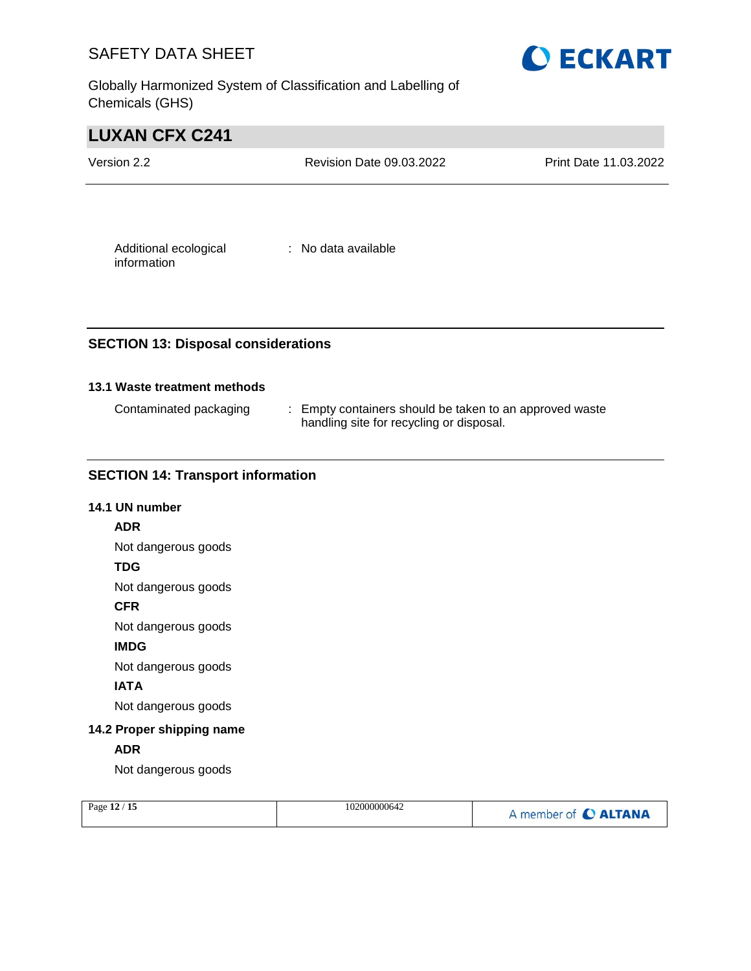Globally Harmonized System of Classification and Labelling of Chemicals (GHS)



# **LUXAN CFX C241**

| Version 2.2                          | Revision Date 09.03.2022 | Print Date 11.03.2022 |
|--------------------------------------|--------------------------|-----------------------|
|                                      |                          |                       |
| Additional ecological<br>information | : No data available      |                       |

### **SECTION 13: Disposal considerations**

### **13.1 Waste treatment methods**

| Contaminated packaging | : Empty containers should be taken to an approved waste |
|------------------------|---------------------------------------------------------|
|                        | handling site for recycling or disposal.                |

### **SECTION 14: Transport information**

# **14.1 UN number ADR** Not dangerous goods **TDG** Not dangerous goods **CFR** Not dangerous goods **IMDG** Not dangerous goods **IATA** Not dangerous goods **14.2 Proper shipping name ADR** Not dangerous goods

| Page 12 / 15 | 102000000642 | A member of C ALTANA |
|--------------|--------------|----------------------|
|--------------|--------------|----------------------|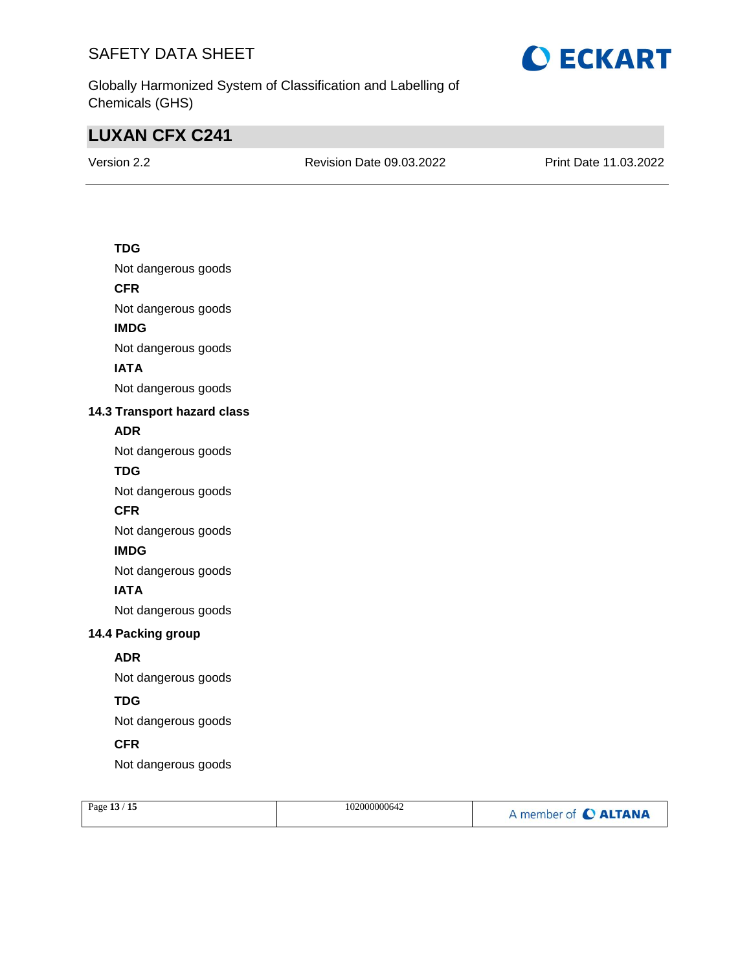

Globally Harmonized System of Classification and Labelling of Chemicals (GHS)

# **LUXAN CFX C241**

Version 2.2 Revision Date 09.03.2022 Print Date 11.03.2022

### **TDG**

Not dangerous goods

### **CFR**

Not dangerous goods

### **IMDG**

Not dangerous goods

### **IATA**

Not dangerous goods

### **14.3 Transport hazard class**

### **ADR**

Not dangerous goods

### **TDG**

Not dangerous goods

### **CFR**

Not dangerous goods

### **IMDG**

Not dangerous goods

### **IATA**

Not dangerous goods

### **14.4 Packing group**

### **ADR**

Not dangerous goods

### **TDG**

Not dangerous goods

### **CFR**

Not dangerous goods

| Page 13 / 15 | 102000000642 | A member of C ALTANA |
|--------------|--------------|----------------------|
|              |              |                      |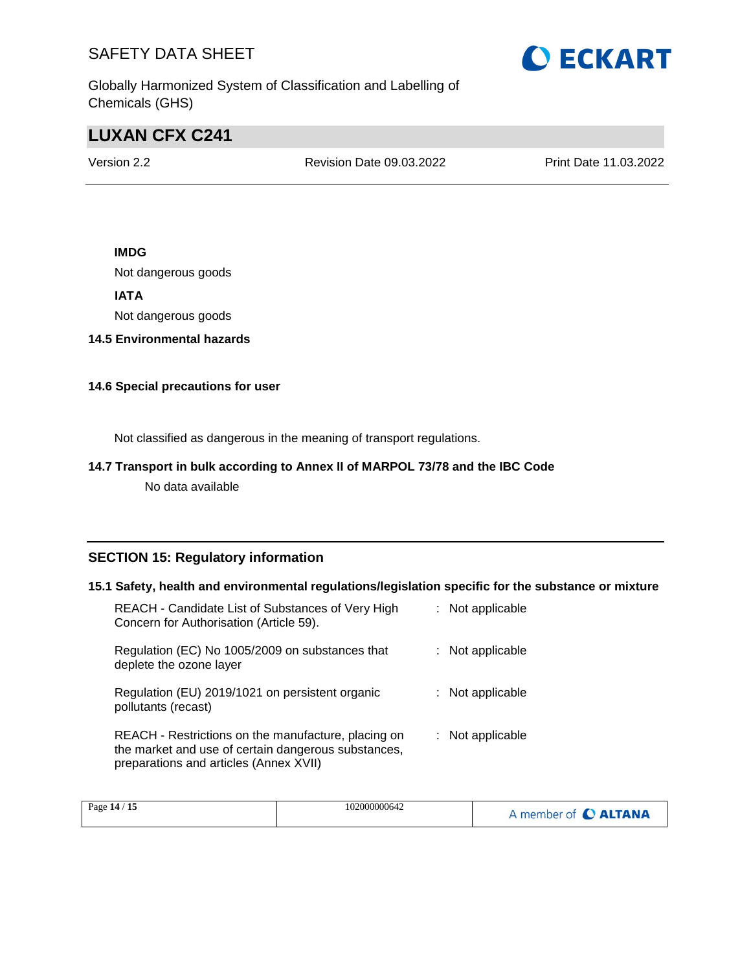

Globally Harmonized System of Classification and Labelling of Chemicals (GHS)

# **LUXAN CFX C241**

Version 2.2 Revision Date 09.03.2022 Print Date 11.03.2022

### **IMDG**

Not dangerous goods

**IATA**

Not dangerous goods

**14.5 Environmental hazards**

### **14.6 Special precautions for user**

Not classified as dangerous in the meaning of transport regulations.

### **14.7 Transport in bulk according to Annex II of MARPOL 73/78 and the IBC Code**

No data available

### **SECTION 15: Regulatory information**

### **15.1 Safety, health and environmental regulations/legislation specific for the substance or mixture**

| REACH - Candidate List of Substances of Very High<br>Concern for Authorisation (Article 59).                                                         | : Not applicable |
|------------------------------------------------------------------------------------------------------------------------------------------------------|------------------|
| Regulation (EC) No 1005/2009 on substances that<br>deplete the ozone layer                                                                           | : Not applicable |
| Regulation (EU) 2019/1021 on persistent organic<br>pollutants (recast)                                                                               | : Not applicable |
| REACH - Restrictions on the manufacture, placing on<br>the market and use of certain dangerous substances,<br>preparations and articles (Annex XVII) | : Not applicable |

| 15<br>Page 14 / | 102000000642 | <b>CALTANA</b><br>member of <b>C</b> |
|-----------------|--------------|--------------------------------------|
|-----------------|--------------|--------------------------------------|